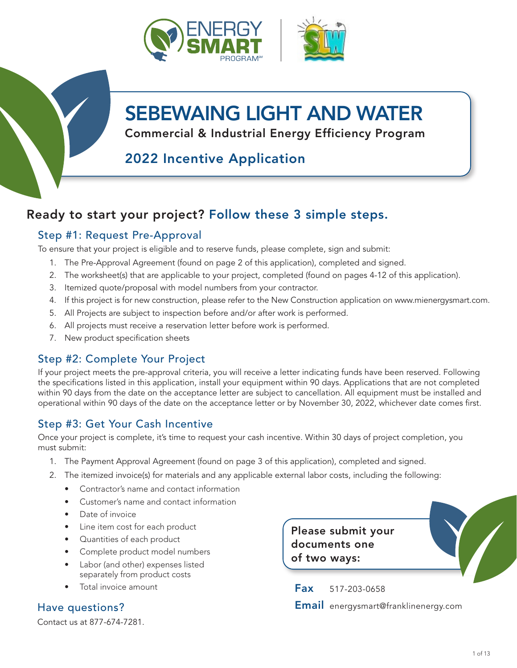

# SEBEWAING LIGHT AND WATER

Commercial & Industrial Energy Efficiency Program

## 2022 Incentive Application

### Ready to start your project? Follow these 3 simple steps.

### Step #1: Request Pre-Approval

To ensure that your project is eligible and to reserve funds, please complete, sign and submit:

- 1. The Pre-Approval Agreement (found on page 2 of this application), completed and signed.
- 2. The worksheet(s) that are applicable to your project, completed (found on pages 4-12 of this application).
- 3. Itemized quote/proposal with model numbers from your contractor.
- 4. If this project is for new construction, please refer to the New Construction application on www.mienergysmart.com.
- 5. All Projects are subject to inspection before and/or after work is performed.
- 6. All projects must receive a reservation letter before work is performed.
- 7. New product specification sheets

### Step #2: Complete Your Project

If your project meets the pre-approval criteria, you will receive a letter indicating funds have been reserved. Following the specifications listed in this application, install your equipment within 90 days. Applications that are not completed within 90 days from the date on the acceptance letter are subject to cancellation. All equipment must be installed and operational within 90 days of the date on the acceptance letter or by November 30, 2022, whichever date comes first.

### Step #3: Get Your Cash Incentive

Once your project is complete, it's time to request your cash incentive. Within 30 days of project completion, you must submit:

- 1. The Payment Approval Agreement (found on page 3 of this application), completed and signed.
- 2. The itemized invoice(s) for materials and any applicable external labor costs, including the following:
	- Contractor's name and contact information
	- Customer's name and contact information
	- Date of invoice
	- Line item cost for each product
	- Quantities of each product
	- Complete product model numbers
	- Labor (and other) expenses listed separately from product costs
	- Total invoice amount

Contact us at 877-674-7281.

Please submit your documents one of two ways:

Fax 517-203-0658 Have questions? Email energysmart@franklinenergy.com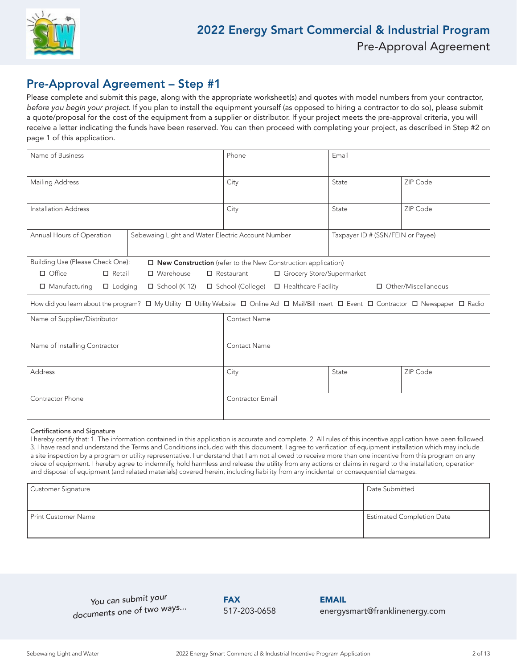

### Pre-Approval Agreement – Step #1

Please complete and submit this page, along with the appropriate worksheet(s) and quotes with model numbers from your contractor, before you begin your project. If you plan to install the equipment yourself (as opposed to hiring a contractor to do so), please submit a quote/proposal for the cost of the equipment from a supplier or distributor. If your project meets the pre-approval criteria, you will receive a letter indicating the funds have been reserved. You can then proceed with completing your project, as described in Step #2 on page 1 of this application.

| Name of Business                                                                                                                                                                                                                                                                                                                                                                                                                                                                                                                                                                                                                                                                                                                                                                                                             |                                                   | Phone                                                                                                                                       | Email                             |                       |  |  |
|------------------------------------------------------------------------------------------------------------------------------------------------------------------------------------------------------------------------------------------------------------------------------------------------------------------------------------------------------------------------------------------------------------------------------------------------------------------------------------------------------------------------------------------------------------------------------------------------------------------------------------------------------------------------------------------------------------------------------------------------------------------------------------------------------------------------------|---------------------------------------------------|---------------------------------------------------------------------------------------------------------------------------------------------|-----------------------------------|-----------------------|--|--|
| <b>Mailing Address</b>                                                                                                                                                                                                                                                                                                                                                                                                                                                                                                                                                                                                                                                                                                                                                                                                       |                                                   | City                                                                                                                                        | State                             | ZIP Code              |  |  |
| Installation Address                                                                                                                                                                                                                                                                                                                                                                                                                                                                                                                                                                                                                                                                                                                                                                                                         |                                                   | City                                                                                                                                        | State                             | ZIP Code              |  |  |
| Annual Hours of Operation                                                                                                                                                                                                                                                                                                                                                                                                                                                                                                                                                                                                                                                                                                                                                                                                    | Sebewaing Light and Water Electric Account Number |                                                                                                                                             | Taxpayer ID # (SSN/FEIN or Payee) |                       |  |  |
| Building Use (Please Check One):                                                                                                                                                                                                                                                                                                                                                                                                                                                                                                                                                                                                                                                                                                                                                                                             |                                                   | $\Box$ New Construction (refer to the New Construction application)                                                                         |                                   |                       |  |  |
| $\Box$ Office<br>$\Box$ Retail                                                                                                                                                                                                                                                                                                                                                                                                                                                                                                                                                                                                                                                                                                                                                                                               | $\Box$ Warehouse                                  | $\Box$ Restaurant<br>□ Grocery Store/Supermarket                                                                                            |                                   |                       |  |  |
| $\Box$ Manufacturing<br>$\Box$ Lodging                                                                                                                                                                                                                                                                                                                                                                                                                                                                                                                                                                                                                                                                                                                                                                                       | $\Box$ School (K-12)                              | □ School (College)<br>□ Healthcare Facility                                                                                                 |                                   | □ Other/Miscellaneous |  |  |
|                                                                                                                                                                                                                                                                                                                                                                                                                                                                                                                                                                                                                                                                                                                                                                                                                              |                                                   | How did you learn about the program? □ My Utility □ Utility Website □ Online Ad □ Mail/Bill Insert □ Event □ Contractor □ Newspaper □ Radio |                                   |                       |  |  |
| Name of Supplier/Distributor                                                                                                                                                                                                                                                                                                                                                                                                                                                                                                                                                                                                                                                                                                                                                                                                 |                                                   | Contact Name                                                                                                                                |                                   |                       |  |  |
| Name of Installing Contractor                                                                                                                                                                                                                                                                                                                                                                                                                                                                                                                                                                                                                                                                                                                                                                                                |                                                   | <b>Contact Name</b>                                                                                                                         |                                   |                       |  |  |
| <b>Address</b>                                                                                                                                                                                                                                                                                                                                                                                                                                                                                                                                                                                                                                                                                                                                                                                                               |                                                   | City<br>State                                                                                                                               |                                   | ZIP Code              |  |  |
| Contractor Phone                                                                                                                                                                                                                                                                                                                                                                                                                                                                                                                                                                                                                                                                                                                                                                                                             |                                                   | Contractor Email                                                                                                                            |                                   |                       |  |  |
| Certifications and Signature<br>I hereby certify that: 1. The information contained in this application is accurate and complete. 2. All rules of this incentive application have been followed.<br>3. I have read and understand the Terms and Conditions included with this document. I agree to verification of equipment installation which may include<br>a site inspection by a program or utility representative. I understand that I am not allowed to receive more than one incentive from this program on any<br>piece of equipment. I hereby agree to indemnify, hold harmless and release the utility from any actions or claims in regard to the installation, operation<br>and disposal of equipment (and related materials) covered herein, including liability from any incidental or consequential damages. |                                                   |                                                                                                                                             |                                   |                       |  |  |
| Customer Signature                                                                                                                                                                                                                                                                                                                                                                                                                                                                                                                                                                                                                                                                                                                                                                                                           |                                                   |                                                                                                                                             | Date Submitted                    |                       |  |  |
| <b>Print Customer Name</b>                                                                                                                                                                                                                                                                                                                                                                                                                                                                                                                                                                                                                                                                                                                                                                                                   |                                                   |                                                                                                                                             | <b>Estimated Completion Date</b>  |                       |  |  |

*You can submit your documents one of two ways...*

**FAX** 517-203-0658 EMAIL energysmart@franklinenergy.com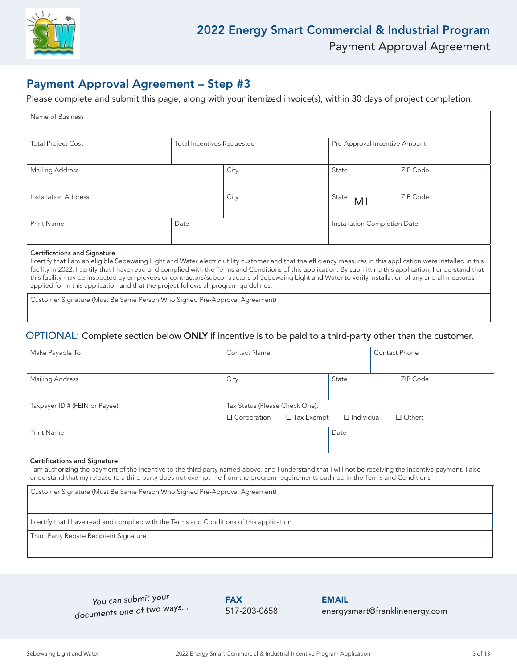

### Payment Approval Agreement – Step #3

Please complete and submit this page, along with your itemized invoice(s), within 30 days of project completion.

| Name of Business                                                                                                                                                |                                   |      |                               |          |
|-----------------------------------------------------------------------------------------------------------------------------------------------------------------|-----------------------------------|------|-------------------------------|----------|
|                                                                                                                                                                 |                                   |      |                               |          |
| <b>Total Project Cost</b>                                                                                                                                       | <b>Total Incentives Requested</b> |      | Pre-Approval Incentive Amount |          |
|                                                                                                                                                                 |                                   |      |                               |          |
| Mailing Address                                                                                                                                                 |                                   | City | State                         | ZIP Code |
|                                                                                                                                                                 |                                   |      |                               |          |
| Installation Address                                                                                                                                            |                                   | City | State<br>M <sub>l</sub>       | ZIP Code |
|                                                                                                                                                                 |                                   |      |                               |          |
| <b>Print Name</b>                                                                                                                                               | Date                              |      | Installation Completion Date  |          |
|                                                                                                                                                                 |                                   |      |                               |          |
| Certifications and Signature                                                                                                                                    |                                   |      |                               |          |
| I certify that I am an eligible Sebewaing Light and Water electric utility customer and that the efficiency measures in this application were installed in this |                                   |      |                               |          |
| facility in 2022. I certify that I have read and complied with the Terms and Conditions of this application. By submitting this application, I understand that  |                                   |      |                               |          |
| this facility may be inspected by employees or contractors/subcontractors of Sebewaing Light and Water to verify installation of any and all measures           |                                   |      |                               |          |

applied for in this application and that the project follows all program guidelines.

Customer Signature (Must Be Same Person Who Signed Pre-Approval Agreement)

### OPTIONAL: Complete section below ONLY if incentive is to be paid to a third-party other than the customer.

| Make Payable To                                                                                                                                                                                                                                                                                                                        | Contact Phone<br>Contact Name           |                   |  |               |  |
|----------------------------------------------------------------------------------------------------------------------------------------------------------------------------------------------------------------------------------------------------------------------------------------------------------------------------------------|-----------------------------------------|-------------------|--|---------------|--|
| Mailing Address                                                                                                                                                                                                                                                                                                                        | City                                    | State             |  | ZIP Code      |  |
| Taxpayer ID # (FEIN or Payee)                                                                                                                                                                                                                                                                                                          | Tax Status (Please Check One):          |                   |  |               |  |
|                                                                                                                                                                                                                                                                                                                                        | $\Box$ Tax Exempt<br>$\Box$ Corporation | $\Box$ Individual |  | $\Box$ Other: |  |
| Print Name                                                                                                                                                                                                                                                                                                                             |                                         | Date              |  |               |  |
|                                                                                                                                                                                                                                                                                                                                        |                                         |                   |  |               |  |
| <b>Certifications and Signature</b><br>l am authorizing the payment of the incentive to the third party named above, and I understand that I will not be receiving the incentive payment. I also<br>understand that my release to a third party does not exempt me from the program requirements outlined in the Terms and Conditions. |                                         |                   |  |               |  |
| Customer Signature (Must Be Same Person Who Signed Pre-Approval Agreement)                                                                                                                                                                                                                                                             |                                         |                   |  |               |  |
| certify that I have read and complied with the Terms and Conditions of this application.                                                                                                                                                                                                                                               |                                         |                   |  |               |  |
| Third Party Rebate Recipient Signature                                                                                                                                                                                                                                                                                                 |                                         |                   |  |               |  |

*You can submit your documents one of two ways...*

**FAX** 517-203-0658 EMAIL energysmart@franklinenergy.com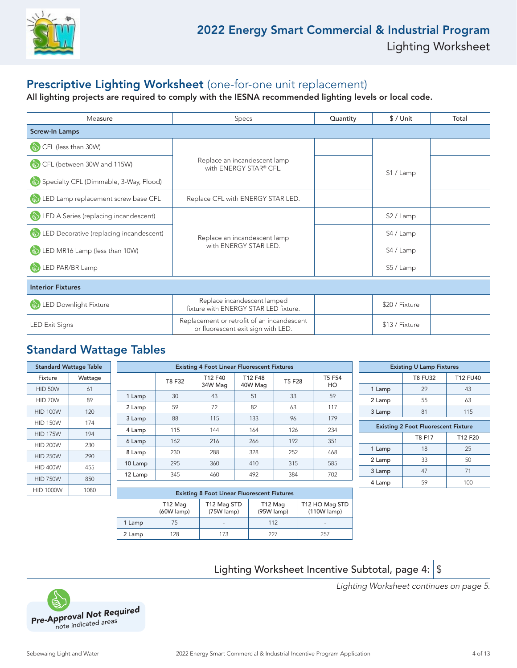

### Prescriptive Lighting Worksheet (one-for-one unit replacement)

All lighting projects are required to comply with the IESNA recommended lighting levels or local code.

| Measure                                             | <b>Specs</b>                                                                     | Quantity | $$/$ Unit      | Total |
|-----------------------------------------------------|----------------------------------------------------------------------------------|----------|----------------|-------|
| <b>Screw-In Lamps</b>                               |                                                                                  |          |                |       |
| CFL (less than 30W)<br>$\left(\frac{1}{2}\right)$   |                                                                                  |          |                |       |
| CFL (between 30W and 115W)                          | Replace an incandescent lamp<br>with ENERGY STAR® CFL.                           |          |                |       |
| Specialty CFL (Dimmable, 3-Way, Flood)              |                                                                                  |          | \$1 / Lamp     |       |
| LED Lamp replacement screw base CFL                 | Replace CFL with ENERGY STAR LED.                                                |          |                |       |
| LED A Series (replacing incandescent)               |                                                                                  |          | \$2 / Lamp     |       |
| LED Decorative (replacing incandescent)             | Replace an incandescent lamp                                                     |          | \$4 / Lamp     |       |
| LED MR16 Lamp (less than 10W)                       | with ENERGY STAR LED.                                                            |          | \$4 / Lamp     |       |
| LED PAR/BR Lamp                                     |                                                                                  |          | $$5/$ Lamp     |       |
| <b>Interior Fixtures</b>                            |                                                                                  |          |                |       |
| LED Downlight Fixture<br>$\left(\frac{1}{2}\right)$ | Replace incandescent lamped<br>fixture with ENERGY STAR LED fixture.             |          | \$20 / Fixture |       |
| <b>LED Exit Signs</b>                               | Replacement or retrofit of an incandescent<br>or fluorescent exit sign with LED. |          | \$13 / Fixture |       |

### Standard Wattage Tables

|                  | <b>Standard Wattage Table</b> |         |        | <b>Existing 4 Foot Linear Fluorescent Fixtures</b> |         |               |        |                                            | <b>Existing U Lamp Fixtures</b> |                 |
|------------------|-------------------------------|---------|--------|----------------------------------------------------|---------|---------------|--------|--------------------------------------------|---------------------------------|-----------------|
| Fixture          | Wattage                       |         | T8 F32 | T12 F40                                            | T12 F48 | <b>T5 F28</b> | T5 F54 |                                            | <b>T8 FU32</b>                  | <b>T12 FU40</b> |
| HID 50W          | 61                            |         |        | 34W Mag                                            | 40W Mag |               | HO     | 1 Lamp                                     | 29                              | 43              |
| HID 70W          | 89                            | 1 Lamp  | 30     | 43                                                 | 51      | 33            | 59     | 2 Lamp                                     | 55                              | 63              |
| <b>HID 100W</b>  | 120                           | 2 Lamp  | 59     | 72                                                 | 82      | 63            | 117    | 3 Lamp                                     | 81                              | 115             |
| <b>HID 150W</b>  | 174                           | 3 Lamp  | 88     | 115                                                | 133     | 96            | 179    |                                            |                                 |                 |
|                  |                               | 4 Lamp  | 115    | 144                                                | 164     | 126           | 234    | <b>Existing 2 Foot Fluorescent Fixture</b> |                                 |                 |
| <b>HID 175W</b>  | 194                           | 6 Lamp  | 162    | 216                                                | 266     | 192           | 351    |                                            | T8 F17                          | T12 F20         |
| <b>HID 200W</b>  | 230                           |         |        |                                                    |         |               |        | 1 Lamp                                     | 18                              | 25              |
| <b>HID 250W</b>  | 290                           | 8 Lamp  | 230    | 288                                                | 328     | 252           | 468    |                                            | 33                              | 50              |
| <b>HID 400W</b>  | 455                           | 10 Lamp | 295    | 360                                                | 410     | 315           | 585    | 2 Lamp                                     |                                 |                 |
|                  |                               | 12 Lamp | 345    | 460                                                | 492     | 384           | 702    | 3 Lamp                                     | 47                              | 71              |
| <b>HID 750W</b>  | 850                           |         |        |                                                    |         |               |        | 4 Lamp                                     | 59                              | 100             |
| <b>HID 1000W</b> | 1080                          |         |        | Futuring O Face History Fluturescent Flutures      |         |               |        |                                            |                                 |                 |

| <b>Existing 8 Foot Linear Fluorescent Fixtures</b> |                         |                           |                       |                                 |  |  |  |  |
|----------------------------------------------------|-------------------------|---------------------------|-----------------------|---------------------------------|--|--|--|--|
|                                                    | T12 Mag<br>$(60W$ lamp) | T12 Mag STD<br>(75W lamp) | T12 Mag<br>(95W lamp) | T12 HO Mag STD<br>$(110W$ lamp) |  |  |  |  |
| 1 Lamp                                             | 75                      | $\sim$                    | 112                   |                                 |  |  |  |  |
| 2 Lamp                                             | 128                     | 173                       | 227                   | 257                             |  |  |  |  |

Lighting Worksheet Incentive Subtotal, page 4:  $\frac{1}{3}$ 



Lighting Worksheet continues on page 5.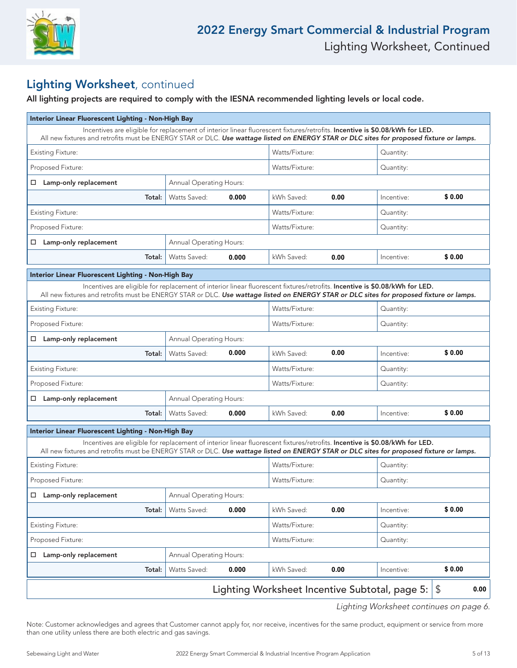

### Lighting Worksheet, continued

All lighting projects are required to comply with the IESNA recommended lighting levels or local code.

| Incentives are eligible for replacement of interior linear fluorescent fixtures/retrofits. Incentive is \$0.08/kWh for LED.<br>All new fixtures and retrofits must be ENERGY STAR or DLC. Use wattage listed on ENERGY STAR or DLC sites for proposed fixture or lamps.<br>Watts/Fixture:<br><b>Existing Fixture:</b><br>Quantity:<br>Proposed Fixture:<br>Watts/Fixture:<br>Quantity:<br>Lamp-only replacement<br><b>Annual Operating Hours:</b><br>$\Box$<br>0.00<br>\$0.00<br>Watts Saved:<br>0.000<br>kWh Saved:<br>Total:<br>Incentive:<br>Watts/Fixture:<br><b>Existing Fixture:</b><br>Quantity:<br>Watts/Fixture:<br>Proposed Fixture:<br>Quantity:<br>Lamp-only replacement<br><b>Annual Operating Hours:</b><br>$\Box$<br>Watts Saved:<br>kWh Saved:<br>Total:<br>0.00<br>\$0.00<br>0.000<br>Incentive:<br>Interior Linear Fluorescent Lighting - Non-High Bay<br>Incentives are eligible for replacement of interior linear fluorescent fixtures/retrofits. Incentive is \$0.08/kWh for LED.<br>All new fixtures and retrofits must be ENERGY STAR or DLC. Use wattage listed on ENERGY STAR or DLC sites for proposed fixture or lamps.<br>Watts/Fixture:<br><b>Existing Fixture:</b><br>Quantity:<br>Proposed Fixture:<br>Watts/Fixture:<br>Quantity:<br>$\Box$ Lamp-only replacement<br><b>Annual Operating Hours:</b><br>\$0.00<br>0.00<br>0.000<br>Watts Saved:<br>kWh Saved:<br>Total:<br>Incentive:<br>Watts/Fixture:<br><b>Existing Fixture:</b><br>Quantity:<br>Watts/Fixture:<br>Proposed Fixture:<br>Quantity:<br><b>Annual Operating Hours:</b><br>Lamp-only replacement<br>0.00<br>\$0.00<br>Watts Saved:<br>0.000<br>kWh Saved:<br>Total:<br>Incentive:<br>Interior Linear Fluorescent Lighting - Non-High Bay<br>Incentives are eligible for replacement of interior linear fluorescent fixtures/retrofits. Incentive is \$0.08/kWh for LED.<br>All new fixtures and retrofits must be ENERGY STAR or DLC. Use wattage listed on ENERGY STAR or DLC sites for proposed fixture or lamps.<br>Watts/Fixture:<br><b>Existing Fixture:</b><br>Quantity:<br>Watts/Fixture:<br>Proposed Fixture:<br>Quantity:<br>Annual Operating Hours:<br>Lamp-only replacement<br>$\Box$<br>kWh Saved:<br>\$0.00<br>Watts Saved:<br>0.000<br>0.00<br>Total:<br>Incentive:<br><b>Existing Fixture:</b><br>Watts/Fixture:<br>Quantity:<br>Proposed Fixture:<br>Watts/Fixture:<br>Quantity:<br>Lamp-only replacement<br>Annual Operating Hours:<br>□<br>\$0.00<br>0.00<br>0.000<br>kWh Saved:<br>Total:<br>Watts Saved:<br>Incentive:<br>Lighting Worksheet Incentive Subtotal, page 5:<br>\$ | Interior Linear Fluorescent Lighting - Non-High Bay |      |  |  |  |  |  |  |  |
|---------------------------------------------------------------------------------------------------------------------------------------------------------------------------------------------------------------------------------------------------------------------------------------------------------------------------------------------------------------------------------------------------------------------------------------------------------------------------------------------------------------------------------------------------------------------------------------------------------------------------------------------------------------------------------------------------------------------------------------------------------------------------------------------------------------------------------------------------------------------------------------------------------------------------------------------------------------------------------------------------------------------------------------------------------------------------------------------------------------------------------------------------------------------------------------------------------------------------------------------------------------------------------------------------------------------------------------------------------------------------------------------------------------------------------------------------------------------------------------------------------------------------------------------------------------------------------------------------------------------------------------------------------------------------------------------------------------------------------------------------------------------------------------------------------------------------------------------------------------------------------------------------------------------------------------------------------------------------------------------------------------------------------------------------------------------------------------------------------------------------------------------------------------------------------------------------------------------------------------------------------------------------------------------------------------------------------------------------------------------------------------------------------------------------------------------------------------------------------------------------------------------------------------------------------------------------------------------------|-----------------------------------------------------|------|--|--|--|--|--|--|--|
|                                                                                                                                                                                                                                                                                                                                                                                                                                                                                                                                                                                                                                                                                                                                                                                                                                                                                                                                                                                                                                                                                                                                                                                                                                                                                                                                                                                                                                                                                                                                                                                                                                                                                                                                                                                                                                                                                                                                                                                                                                                                                                                                                                                                                                                                                                                                                                                                                                                                                                                                                                                                   |                                                     |      |  |  |  |  |  |  |  |
|                                                                                                                                                                                                                                                                                                                                                                                                                                                                                                                                                                                                                                                                                                                                                                                                                                                                                                                                                                                                                                                                                                                                                                                                                                                                                                                                                                                                                                                                                                                                                                                                                                                                                                                                                                                                                                                                                                                                                                                                                                                                                                                                                                                                                                                                                                                                                                                                                                                                                                                                                                                                   |                                                     |      |  |  |  |  |  |  |  |
|                                                                                                                                                                                                                                                                                                                                                                                                                                                                                                                                                                                                                                                                                                                                                                                                                                                                                                                                                                                                                                                                                                                                                                                                                                                                                                                                                                                                                                                                                                                                                                                                                                                                                                                                                                                                                                                                                                                                                                                                                                                                                                                                                                                                                                                                                                                                                                                                                                                                                                                                                                                                   |                                                     |      |  |  |  |  |  |  |  |
|                                                                                                                                                                                                                                                                                                                                                                                                                                                                                                                                                                                                                                                                                                                                                                                                                                                                                                                                                                                                                                                                                                                                                                                                                                                                                                                                                                                                                                                                                                                                                                                                                                                                                                                                                                                                                                                                                                                                                                                                                                                                                                                                                                                                                                                                                                                                                                                                                                                                                                                                                                                                   |                                                     |      |  |  |  |  |  |  |  |
|                                                                                                                                                                                                                                                                                                                                                                                                                                                                                                                                                                                                                                                                                                                                                                                                                                                                                                                                                                                                                                                                                                                                                                                                                                                                                                                                                                                                                                                                                                                                                                                                                                                                                                                                                                                                                                                                                                                                                                                                                                                                                                                                                                                                                                                                                                                                                                                                                                                                                                                                                                                                   |                                                     |      |  |  |  |  |  |  |  |
|                                                                                                                                                                                                                                                                                                                                                                                                                                                                                                                                                                                                                                                                                                                                                                                                                                                                                                                                                                                                                                                                                                                                                                                                                                                                                                                                                                                                                                                                                                                                                                                                                                                                                                                                                                                                                                                                                                                                                                                                                                                                                                                                                                                                                                                                                                                                                                                                                                                                                                                                                                                                   |                                                     |      |  |  |  |  |  |  |  |
|                                                                                                                                                                                                                                                                                                                                                                                                                                                                                                                                                                                                                                                                                                                                                                                                                                                                                                                                                                                                                                                                                                                                                                                                                                                                                                                                                                                                                                                                                                                                                                                                                                                                                                                                                                                                                                                                                                                                                                                                                                                                                                                                                                                                                                                                                                                                                                                                                                                                                                                                                                                                   |                                                     |      |  |  |  |  |  |  |  |
|                                                                                                                                                                                                                                                                                                                                                                                                                                                                                                                                                                                                                                                                                                                                                                                                                                                                                                                                                                                                                                                                                                                                                                                                                                                                                                                                                                                                                                                                                                                                                                                                                                                                                                                                                                                                                                                                                                                                                                                                                                                                                                                                                                                                                                                                                                                                                                                                                                                                                                                                                                                                   |                                                     |      |  |  |  |  |  |  |  |
|                                                                                                                                                                                                                                                                                                                                                                                                                                                                                                                                                                                                                                                                                                                                                                                                                                                                                                                                                                                                                                                                                                                                                                                                                                                                                                                                                                                                                                                                                                                                                                                                                                                                                                                                                                                                                                                                                                                                                                                                                                                                                                                                                                                                                                                                                                                                                                                                                                                                                                                                                                                                   |                                                     |      |  |  |  |  |  |  |  |
|                                                                                                                                                                                                                                                                                                                                                                                                                                                                                                                                                                                                                                                                                                                                                                                                                                                                                                                                                                                                                                                                                                                                                                                                                                                                                                                                                                                                                                                                                                                                                                                                                                                                                                                                                                                                                                                                                                                                                                                                                                                                                                                                                                                                                                                                                                                                                                                                                                                                                                                                                                                                   |                                                     |      |  |  |  |  |  |  |  |
|                                                                                                                                                                                                                                                                                                                                                                                                                                                                                                                                                                                                                                                                                                                                                                                                                                                                                                                                                                                                                                                                                                                                                                                                                                                                                                                                                                                                                                                                                                                                                                                                                                                                                                                                                                                                                                                                                                                                                                                                                                                                                                                                                                                                                                                                                                                                                                                                                                                                                                                                                                                                   |                                                     |      |  |  |  |  |  |  |  |
|                                                                                                                                                                                                                                                                                                                                                                                                                                                                                                                                                                                                                                                                                                                                                                                                                                                                                                                                                                                                                                                                                                                                                                                                                                                                                                                                                                                                                                                                                                                                                                                                                                                                                                                                                                                                                                                                                                                                                                                                                                                                                                                                                                                                                                                                                                                                                                                                                                                                                                                                                                                                   |                                                     |      |  |  |  |  |  |  |  |
|                                                                                                                                                                                                                                                                                                                                                                                                                                                                                                                                                                                                                                                                                                                                                                                                                                                                                                                                                                                                                                                                                                                                                                                                                                                                                                                                                                                                                                                                                                                                                                                                                                                                                                                                                                                                                                                                                                                                                                                                                                                                                                                                                                                                                                                                                                                                                                                                                                                                                                                                                                                                   |                                                     |      |  |  |  |  |  |  |  |
|                                                                                                                                                                                                                                                                                                                                                                                                                                                                                                                                                                                                                                                                                                                                                                                                                                                                                                                                                                                                                                                                                                                                                                                                                                                                                                                                                                                                                                                                                                                                                                                                                                                                                                                                                                                                                                                                                                                                                                                                                                                                                                                                                                                                                                                                                                                                                                                                                                                                                                                                                                                                   |                                                     |      |  |  |  |  |  |  |  |
|                                                                                                                                                                                                                                                                                                                                                                                                                                                                                                                                                                                                                                                                                                                                                                                                                                                                                                                                                                                                                                                                                                                                                                                                                                                                                                                                                                                                                                                                                                                                                                                                                                                                                                                                                                                                                                                                                                                                                                                                                                                                                                                                                                                                                                                                                                                                                                                                                                                                                                                                                                                                   |                                                     |      |  |  |  |  |  |  |  |
|                                                                                                                                                                                                                                                                                                                                                                                                                                                                                                                                                                                                                                                                                                                                                                                                                                                                                                                                                                                                                                                                                                                                                                                                                                                                                                                                                                                                                                                                                                                                                                                                                                                                                                                                                                                                                                                                                                                                                                                                                                                                                                                                                                                                                                                                                                                                                                                                                                                                                                                                                                                                   |                                                     |      |  |  |  |  |  |  |  |
|                                                                                                                                                                                                                                                                                                                                                                                                                                                                                                                                                                                                                                                                                                                                                                                                                                                                                                                                                                                                                                                                                                                                                                                                                                                                                                                                                                                                                                                                                                                                                                                                                                                                                                                                                                                                                                                                                                                                                                                                                                                                                                                                                                                                                                                                                                                                                                                                                                                                                                                                                                                                   |                                                     |      |  |  |  |  |  |  |  |
|                                                                                                                                                                                                                                                                                                                                                                                                                                                                                                                                                                                                                                                                                                                                                                                                                                                                                                                                                                                                                                                                                                                                                                                                                                                                                                                                                                                                                                                                                                                                                                                                                                                                                                                                                                                                                                                                                                                                                                                                                                                                                                                                                                                                                                                                                                                                                                                                                                                                                                                                                                                                   |                                                     |      |  |  |  |  |  |  |  |
|                                                                                                                                                                                                                                                                                                                                                                                                                                                                                                                                                                                                                                                                                                                                                                                                                                                                                                                                                                                                                                                                                                                                                                                                                                                                                                                                                                                                                                                                                                                                                                                                                                                                                                                                                                                                                                                                                                                                                                                                                                                                                                                                                                                                                                                                                                                                                                                                                                                                                                                                                                                                   |                                                     |      |  |  |  |  |  |  |  |
|                                                                                                                                                                                                                                                                                                                                                                                                                                                                                                                                                                                                                                                                                                                                                                                                                                                                                                                                                                                                                                                                                                                                                                                                                                                                                                                                                                                                                                                                                                                                                                                                                                                                                                                                                                                                                                                                                                                                                                                                                                                                                                                                                                                                                                                                                                                                                                                                                                                                                                                                                                                                   |                                                     |      |  |  |  |  |  |  |  |
|                                                                                                                                                                                                                                                                                                                                                                                                                                                                                                                                                                                                                                                                                                                                                                                                                                                                                                                                                                                                                                                                                                                                                                                                                                                                                                                                                                                                                                                                                                                                                                                                                                                                                                                                                                                                                                                                                                                                                                                                                                                                                                                                                                                                                                                                                                                                                                                                                                                                                                                                                                                                   |                                                     |      |  |  |  |  |  |  |  |
|                                                                                                                                                                                                                                                                                                                                                                                                                                                                                                                                                                                                                                                                                                                                                                                                                                                                                                                                                                                                                                                                                                                                                                                                                                                                                                                                                                                                                                                                                                                                                                                                                                                                                                                                                                                                                                                                                                                                                                                                                                                                                                                                                                                                                                                                                                                                                                                                                                                                                                                                                                                                   |                                                     |      |  |  |  |  |  |  |  |
|                                                                                                                                                                                                                                                                                                                                                                                                                                                                                                                                                                                                                                                                                                                                                                                                                                                                                                                                                                                                                                                                                                                                                                                                                                                                                                                                                                                                                                                                                                                                                                                                                                                                                                                                                                                                                                                                                                                                                                                                                                                                                                                                                                                                                                                                                                                                                                                                                                                                                                                                                                                                   |                                                     |      |  |  |  |  |  |  |  |
|                                                                                                                                                                                                                                                                                                                                                                                                                                                                                                                                                                                                                                                                                                                                                                                                                                                                                                                                                                                                                                                                                                                                                                                                                                                                                                                                                                                                                                                                                                                                                                                                                                                                                                                                                                                                                                                                                                                                                                                                                                                                                                                                                                                                                                                                                                                                                                                                                                                                                                                                                                                                   |                                                     |      |  |  |  |  |  |  |  |
|                                                                                                                                                                                                                                                                                                                                                                                                                                                                                                                                                                                                                                                                                                                                                                                                                                                                                                                                                                                                                                                                                                                                                                                                                                                                                                                                                                                                                                                                                                                                                                                                                                                                                                                                                                                                                                                                                                                                                                                                                                                                                                                                                                                                                                                                                                                                                                                                                                                                                                                                                                                                   |                                                     |      |  |  |  |  |  |  |  |
|                                                                                                                                                                                                                                                                                                                                                                                                                                                                                                                                                                                                                                                                                                                                                                                                                                                                                                                                                                                                                                                                                                                                                                                                                                                                                                                                                                                                                                                                                                                                                                                                                                                                                                                                                                                                                                                                                                                                                                                                                                                                                                                                                                                                                                                                                                                                                                                                                                                                                                                                                                                                   |                                                     |      |  |  |  |  |  |  |  |
|                                                                                                                                                                                                                                                                                                                                                                                                                                                                                                                                                                                                                                                                                                                                                                                                                                                                                                                                                                                                                                                                                                                                                                                                                                                                                                                                                                                                                                                                                                                                                                                                                                                                                                                                                                                                                                                                                                                                                                                                                                                                                                                                                                                                                                                                                                                                                                                                                                                                                                                                                                                                   |                                                     |      |  |  |  |  |  |  |  |
|                                                                                                                                                                                                                                                                                                                                                                                                                                                                                                                                                                                                                                                                                                                                                                                                                                                                                                                                                                                                                                                                                                                                                                                                                                                                                                                                                                                                                                                                                                                                                                                                                                                                                                                                                                                                                                                                                                                                                                                                                                                                                                                                                                                                                                                                                                                                                                                                                                                                                                                                                                                                   |                                                     |      |  |  |  |  |  |  |  |
|                                                                                                                                                                                                                                                                                                                                                                                                                                                                                                                                                                                                                                                                                                                                                                                                                                                                                                                                                                                                                                                                                                                                                                                                                                                                                                                                                                                                                                                                                                                                                                                                                                                                                                                                                                                                                                                                                                                                                                                                                                                                                                                                                                                                                                                                                                                                                                                                                                                                                                                                                                                                   |                                                     |      |  |  |  |  |  |  |  |
|                                                                                                                                                                                                                                                                                                                                                                                                                                                                                                                                                                                                                                                                                                                                                                                                                                                                                                                                                                                                                                                                                                                                                                                                                                                                                                                                                                                                                                                                                                                                                                                                                                                                                                                                                                                                                                                                                                                                                                                                                                                                                                                                                                                                                                                                                                                                                                                                                                                                                                                                                                                                   |                                                     | 0.00 |  |  |  |  |  |  |  |

Lighting Worksheet continues on page 6.

Note: Customer acknowledges and agrees that Customer cannot apply for, nor receive, incentives for the same product, equipment or service from more than one utility unless there are both electric and gas savings.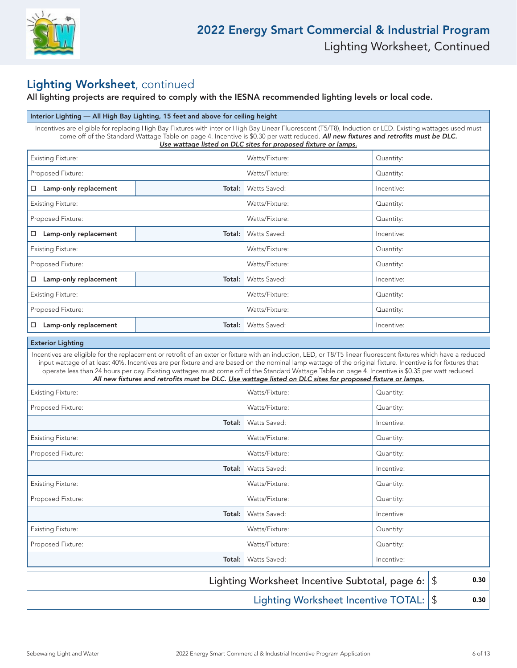

### Lighting Worksheet, continued

### All lighting projects are required to comply with the IESNA recommended lighting levels or local code.

| Interior Lighting - All High Bay Lighting, 15 feet and above for ceiling height                                          |                                                                                                                                                                                                                                                                                                                                                                   |                                                                                                                                                                                                                                                                                                                                                                                                                                                                                                                                                                                                     |            |  |  |  |
|--------------------------------------------------------------------------------------------------------------------------|-------------------------------------------------------------------------------------------------------------------------------------------------------------------------------------------------------------------------------------------------------------------------------------------------------------------------------------------------------------------|-----------------------------------------------------------------------------------------------------------------------------------------------------------------------------------------------------------------------------------------------------------------------------------------------------------------------------------------------------------------------------------------------------------------------------------------------------------------------------------------------------------------------------------------------------------------------------------------------------|------------|--|--|--|
|                                                                                                                          | Incentives are eligible for replacing High Bay Fixtures with interior High Bay Linear Fluorescent (T5/T8), Induction or LED. Existing wattages used must<br>come off of the Standard Wattage Table on page 4. Incentive is \$0.30 per watt reduced. All new fixtures and retrofits must be DLC.<br>Use wattage listed on DLC sites for proposed fixture or lamps. |                                                                                                                                                                                                                                                                                                                                                                                                                                                                                                                                                                                                     |            |  |  |  |
| <b>Existing Fixture:</b>                                                                                                 |                                                                                                                                                                                                                                                                                                                                                                   | Watts/Fixture:                                                                                                                                                                                                                                                                                                                                                                                                                                                                                                                                                                                      | Quantity:  |  |  |  |
| Proposed Fixture:                                                                                                        |                                                                                                                                                                                                                                                                                                                                                                   | Watts/Fixture:                                                                                                                                                                                                                                                                                                                                                                                                                                                                                                                                                                                      | Quantity:  |  |  |  |
| □ Lamp-only replacement                                                                                                  | Total:                                                                                                                                                                                                                                                                                                                                                            | Watts Saved:                                                                                                                                                                                                                                                                                                                                                                                                                                                                                                                                                                                        | Incentive: |  |  |  |
| <b>Existing Fixture:</b>                                                                                                 |                                                                                                                                                                                                                                                                                                                                                                   | Watts/Fixture:                                                                                                                                                                                                                                                                                                                                                                                                                                                                                                                                                                                      | Quantity:  |  |  |  |
| Proposed Fixture:                                                                                                        |                                                                                                                                                                                                                                                                                                                                                                   | Watts/Fixture:                                                                                                                                                                                                                                                                                                                                                                                                                                                                                                                                                                                      | Quantity:  |  |  |  |
| $\Box$ Lamp-only replacement                                                                                             | Total:                                                                                                                                                                                                                                                                                                                                                            | Watts Saved:                                                                                                                                                                                                                                                                                                                                                                                                                                                                                                                                                                                        | Incentive: |  |  |  |
| <b>Existing Fixture:</b>                                                                                                 |                                                                                                                                                                                                                                                                                                                                                                   | Watts/Fixture:                                                                                                                                                                                                                                                                                                                                                                                                                                                                                                                                                                                      | Quantity:  |  |  |  |
| Proposed Fixture:                                                                                                        |                                                                                                                                                                                                                                                                                                                                                                   | Watts/Fixture:                                                                                                                                                                                                                                                                                                                                                                                                                                                                                                                                                                                      | Quantity:  |  |  |  |
| □ Lamp-only replacement                                                                                                  | Total:                                                                                                                                                                                                                                                                                                                                                            | Watts Saved:                                                                                                                                                                                                                                                                                                                                                                                                                                                                                                                                                                                        | Incentive: |  |  |  |
| <b>Existing Fixture:</b>                                                                                                 |                                                                                                                                                                                                                                                                                                                                                                   | Watts/Fixture:                                                                                                                                                                                                                                                                                                                                                                                                                                                                                                                                                                                      | Quantity:  |  |  |  |
| Proposed Fixture:                                                                                                        |                                                                                                                                                                                                                                                                                                                                                                   | Watts/Fixture:                                                                                                                                                                                                                                                                                                                                                                                                                                                                                                                                                                                      | Quantity:  |  |  |  |
| □ Lamp-only replacement                                                                                                  | Total:                                                                                                                                                                                                                                                                                                                                                            | Watts Saved:                                                                                                                                                                                                                                                                                                                                                                                                                                                                                                                                                                                        | Incentive: |  |  |  |
| <b>Exterior Lighting</b>                                                                                                 |                                                                                                                                                                                                                                                                                                                                                                   |                                                                                                                                                                                                                                                                                                                                                                                                                                                                                                                                                                                                     |            |  |  |  |
|                                                                                                                          |                                                                                                                                                                                                                                                                                                                                                                   | Incentives are eligible for the replacement or retrofit of an exterior fixture with an induction, LED, or T8/T5 linear fluorescent fixtures which have a reduced<br>input wattage of at least 40%. Incentives are per fixture and are based on the nominal lamp wattage of the original fixture. Incentive is for fixtures that<br>operate less than 24 hours per day. Existing wattages must come off of the Standard Wattage Table on page 4. Incentive is \$0.35 per watt reduced.<br>All new fixtures and retrofits must be DLC. Use wattage listed on DLC sites for proposed fixture or lamps. |            |  |  |  |
| <b>Existing Fixture:</b>                                                                                                 |                                                                                                                                                                                                                                                                                                                                                                   | Watts/Fixture:                                                                                                                                                                                                                                                                                                                                                                                                                                                                                                                                                                                      | Quantity:  |  |  |  |
| Proposed Fixture:                                                                                                        |                                                                                                                                                                                                                                                                                                                                                                   | Watts/Fixture:                                                                                                                                                                                                                                                                                                                                                                                                                                                                                                                                                                                      | Quantity:  |  |  |  |
|                                                                                                                          | Total:                                                                                                                                                                                                                                                                                                                                                            | Watts Saved:                                                                                                                                                                                                                                                                                                                                                                                                                                                                                                                                                                                        | Incentive: |  |  |  |
| <b>Existing Fixture:</b>                                                                                                 |                                                                                                                                                                                                                                                                                                                                                                   | Watts/Fixture:                                                                                                                                                                                                                                                                                                                                                                                                                                                                                                                                                                                      | Quantity:  |  |  |  |
| Proposed Fixture:                                                                                                        |                                                                                                                                                                                                                                                                                                                                                                   | Watts/Fixture:                                                                                                                                                                                                                                                                                                                                                                                                                                                                                                                                                                                      | Quantity:  |  |  |  |
|                                                                                                                          | Total:                                                                                                                                                                                                                                                                                                                                                            | Watts Saved:                                                                                                                                                                                                                                                                                                                                                                                                                                                                                                                                                                                        | Incentive: |  |  |  |
| <b>Existing Fixture:</b>                                                                                                 |                                                                                                                                                                                                                                                                                                                                                                   | Watts/Fixture:                                                                                                                                                                                                                                                                                                                                                                                                                                                                                                                                                                                      | Quantity:  |  |  |  |
| Proposed Fixture:                                                                                                        |                                                                                                                                                                                                                                                                                                                                                                   | Watts/Fixture:                                                                                                                                                                                                                                                                                                                                                                                                                                                                                                                                                                                      | Quantity:  |  |  |  |
|                                                                                                                          | Total:                                                                                                                                                                                                                                                                                                                                                            | Watts Saved:                                                                                                                                                                                                                                                                                                                                                                                                                                                                                                                                                                                        | Incentive: |  |  |  |
| <b>Existing Fixture:</b>                                                                                                 |                                                                                                                                                                                                                                                                                                                                                                   | Watts/Fixture:                                                                                                                                                                                                                                                                                                                                                                                                                                                                                                                                                                                      | Quantity:  |  |  |  |
| Proposed Fixture:                                                                                                        |                                                                                                                                                                                                                                                                                                                                                                   | Watts/Fixture:                                                                                                                                                                                                                                                                                                                                                                                                                                                                                                                                                                                      | Quantity:  |  |  |  |
|                                                                                                                          | Total:                                                                                                                                                                                                                                                                                                                                                            | Watts Saved:                                                                                                                                                                                                                                                                                                                                                                                                                                                                                                                                                                                        | Incentive: |  |  |  |
| Lighting Worksheet Incentive Subtotal, page 6:<br>0.30<br>\$<br><b>Lighting Worksheet Incentive TOTAL:</b><br>\$<br>0.30 |                                                                                                                                                                                                                                                                                                                                                                   |                                                                                                                                                                                                                                                                                                                                                                                                                                                                                                                                                                                                     |            |  |  |  |
|                                                                                                                          |                                                                                                                                                                                                                                                                                                                                                                   |                                                                                                                                                                                                                                                                                                                                                                                                                                                                                                                                                                                                     |            |  |  |  |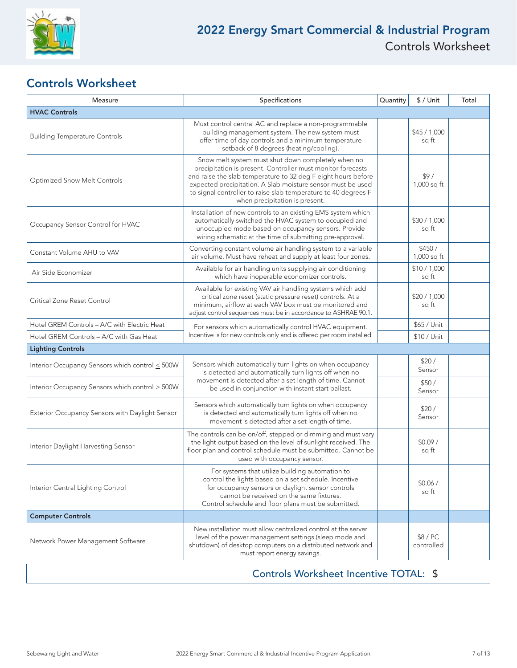

### Controls Worksheet

| Measure                                                                                                                                                                                                                                                                              | Specifications                                                                                                                                                                                                                                                                                                                                        | Quantity | $$/$ Unit             | Total |
|--------------------------------------------------------------------------------------------------------------------------------------------------------------------------------------------------------------------------------------------------------------------------------------|-------------------------------------------------------------------------------------------------------------------------------------------------------------------------------------------------------------------------------------------------------------------------------------------------------------------------------------------------------|----------|-----------------------|-------|
| <b>HVAC Controls</b>                                                                                                                                                                                                                                                                 |                                                                                                                                                                                                                                                                                                                                                       |          |                       |       |
| <b>Building Temperature Controls</b>                                                                                                                                                                                                                                                 | Must control central AC and replace a non-programmable<br>building management system. The new system must<br>offer time of day controls and a minimum temperature<br>setback of 8 degrees (heating/cooling).                                                                                                                                          |          | \$45/1,000<br>sq ft   |       |
| <b>Optimized Snow Melt Controls</b>                                                                                                                                                                                                                                                  | Snow melt system must shut down completely when no<br>precipitation is present. Controller must monitor forecasts<br>and raise the slab temperature to 32 deg F eight hours before<br>expected precipitation. A Slab moisture sensor must be used<br>to signal controller to raise slab temperature to 40 degrees F<br>when precipitation is present. |          | \$9/<br>1,000 sq ft   |       |
| Occupancy Sensor Control for HVAC                                                                                                                                                                                                                                                    | Installation of new controls to an existing EMS system which<br>automatically switched the HVAC system to occupied and<br>unoccupied mode based on occupancy sensors. Provide<br>wiring schematic at the time of submitting pre-approval.                                                                                                             |          | \$30 / 1,000<br>sq ft |       |
| Constant Volume AHU to VAV                                                                                                                                                                                                                                                           | Converting constant volume air handling system to a variable<br>air volume. Must have reheat and supply at least four zones.                                                                                                                                                                                                                          |          | \$450/<br>1,000 sq ft |       |
| Air Side Economizer                                                                                                                                                                                                                                                                  | Available for air handling units supplying air conditioning<br>which have inoperable economizer controls.                                                                                                                                                                                                                                             |          | \$10/1,000<br>sq ft   |       |
| Critical Zone Reset Control                                                                                                                                                                                                                                                          | Available for existing VAV air handling systems which add<br>critical zone reset (static pressure reset) controls. At a<br>minimum, airflow at each VAV box must be monitored and<br>adjust control sequences must be in accordance to ASHRAE 90.1.                                                                                                   |          | \$20/1,000<br>sq ft   |       |
| Hotel GREM Controls - A/C with Electric Heat                                                                                                                                                                                                                                         | For sensors which automatically control HVAC equipment.<br>Incentive is for new controls only and is offered per room installed.                                                                                                                                                                                                                      |          | \$65 / Unit           |       |
| Hotel GREM Controls - A/C with Gas Heat                                                                                                                                                                                                                                              |                                                                                                                                                                                                                                                                                                                                                       |          | \$10 / Unit           |       |
| <b>Lighting Controls</b>                                                                                                                                                                                                                                                             |                                                                                                                                                                                                                                                                                                                                                       |          |                       |       |
| Interior Occupancy Sensors which control < 500W                                                                                                                                                                                                                                      | Sensors which automatically turn lights on when occupancy<br>is detected and automatically turn lights off when no                                                                                                                                                                                                                                    |          | \$20/<br>Sensor       |       |
| Interior Occupancy Sensors which control > 500W                                                                                                                                                                                                                                      | movement is detected after a set length of time. Cannot<br>be used in conjunction with instant start ballast.                                                                                                                                                                                                                                         |          | \$50/<br>Sensor       |       |
| Exterior Occupancy Sensors with Daylight Sensor                                                                                                                                                                                                                                      | Sensors which automatically turn lights on when occupancy<br>is detected and automatically turn lights off when no<br>movement is detected after a set length of time.                                                                                                                                                                                |          | \$20/<br>Sensor       |       |
| Interior Daylight Harvesting Sensor                                                                                                                                                                                                                                                  | The controls can be on/off, stepped or dimming and must vary<br>the light output based on the level of sunlight received. The<br>floor plan and control schedule must be submitted. Cannot be<br>used with occupancy sensor.                                                                                                                          |          | \$0.09/<br>sq ft      |       |
| Interior Central Lighting Control                                                                                                                                                                                                                                                    | For systems that utilize building automation to<br>control the lights based on a set schedule. Incentive<br>for occupancy sensors or daylight sensor controls<br>cannot be received on the same fixtures.<br>Control schedule and floor plans must be submitted.                                                                                      |          | \$0.06/<br>sq ft      |       |
| <b>Computer Controls</b>                                                                                                                                                                                                                                                             |                                                                                                                                                                                                                                                                                                                                                       |          |                       |       |
| New installation must allow centralized control at the server<br>\$8 / PC<br>level of the power management settings (sleep mode and<br>Network Power Management Software<br>shutdown) of desktop computers on a distributed network and<br>controlled<br>must report energy savings. |                                                                                                                                                                                                                                                                                                                                                       |          |                       |       |
|                                                                                                                                                                                                                                                                                      | Controls Worksheet Incentive TOTAL:                                                                                                                                                                                                                                                                                                                   |          | \$                    |       |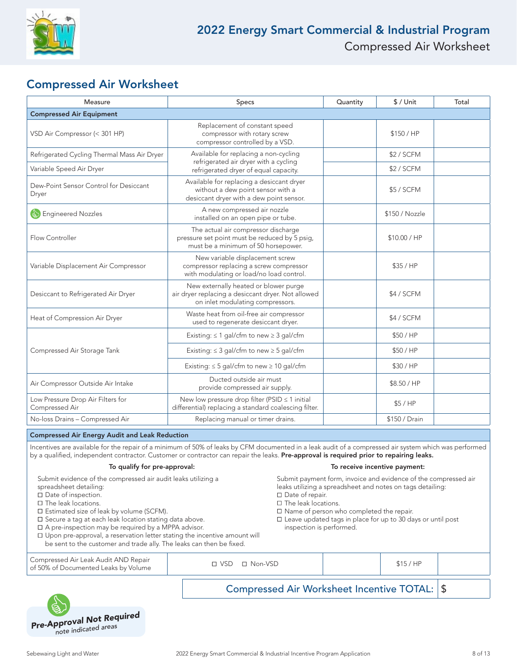

### Compressed Air Worksheet

| Measure                                             | Specs                                                                                                                           | Quantity | $$/$ Unit      | Total |
|-----------------------------------------------------|---------------------------------------------------------------------------------------------------------------------------------|----------|----------------|-------|
| <b>Compressed Air Equipment</b>                     |                                                                                                                                 |          |                |       |
| VSD Air Compressor (< 301 HP)                       | Replacement of constant speed<br>compressor with rotary screw<br>compressor controlled by a VSD.                                |          | \$150 / HP     |       |
| Refrigerated Cycling Thermal Mass Air Dryer         | Available for replacing a non-cycling                                                                                           |          |                |       |
| Variable Speed Air Dryer                            | refrigerated air dryer with a cycling<br>refrigerated dryer of equal capacity.                                                  |          | \$2 / SCFM     |       |
| Dew-Point Sensor Control for Desiccant<br>Dryer     | Available for replacing a desiccant dryer<br>without a dew point sensor with a<br>desiccant dryer with a dew point sensor.      |          | \$5 / SCFM     |       |
| <b>Engineered Nozzles</b>                           | A new compressed air nozzle<br>installed on an open pipe or tube.                                                               |          | \$150 / Nozzle |       |
| Flow Controller                                     | The actual air compressor discharge<br>pressure set point must be reduced by 5 psig,<br>must be a minimum of 50 horsepower.     |          | \$10.00 / HP   |       |
| Variable Displacement Air Compressor                | New variable displacement screw<br>compressor replacing a screw compressor<br>with modulating or load/no load control.          |          | \$35/HP        |       |
| Desiccant to Refrigerated Air Dryer                 | New externally heated or blower purge<br>air dryer replacing a desiccant dryer. Not allowed<br>on inlet modulating compressors. |          | \$4 / SCFM     |       |
| Heat of Compression Air Dryer                       | Waste heat from oil-free air compressor<br>used to regenerate desiccant dryer.                                                  |          | \$4 / SCFM     |       |
|                                                     | Existing: $\leq 1$ gal/cfm to new $\geq 3$ gal/cfm                                                                              |          | \$50/HP        |       |
| Compressed Air Storage Tank                         | Existing: $\leq$ 3 gal/cfm to new $\geq$ 5 gal/cfm                                                                              |          | \$50/HP        |       |
|                                                     | Existing: $\leq$ 5 gal/cfm to new $\geq$ 10 gal/cfm                                                                             |          | \$30/HP        |       |
| Air Compressor Outside Air Intake                   | Ducted outside air must<br>provide compressed air supply.                                                                       |          | \$8.50 / HP    |       |
| Low Pressure Drop Air Filters for<br>Compressed Air | New low pressure drop filter (PSID $\leq$ 1 initial<br>differential) replacing a standard coalescing filter.                    |          | \$5/HP         |       |
| No-loss Drains - Compressed Air                     | Replacing manual or timer drains.                                                                                               |          | \$150 / Drain  |       |

#### Compressed Air Energy Audit and Leak Reduction

Incentives are available for the repair of a minimum of 50% of leaks by CFM documented in a leak audit of a compressed air system which was performed by a qualified, independent contractor. Customer or contractor can repair the leaks. Pre-approval is required prior to repairing leaks.

#### To qualify for pre-approval: To receive incentive payment:

Submit evidence of the compressed air audit leaks utilizing a

- spreadsheet detailing:
- $\square$  Date of inspection.
- □ The leak locations.
- □ Estimated size of leak by volume (SCFM).
- $\square$  Secure a tag at each leak location stating data above.
- $\Box$  A pre-inspection may be required by a MPPA advisor.
- $\square$  Upon pre-approval, a reservation letter stating the incentive amount will be sent to the customer and trade ally. The leaks can then be fixed.

Submit payment form, invoice and evidence of the compressed air leaks utilizing a spreadsheet and notes on tags detailing:  $\Box$  Date of repair.

- $\square$  The leak locations.
- $\square$  Name of person who completed the repair.
- $\square$  Leave updated tags in place for up to 30 days or until post inspection is performed.

|                                                                              |                           | Compressed Air Worksheet Incentive TOTAL: \$ |  |
|------------------------------------------------------------------------------|---------------------------|----------------------------------------------|--|
| Compressed Air Leak Audit AND Repair<br>of 50% of Documented Leaks by Volume | $\Box$ VSD $\Box$ Non-VSD | \$15/HP                                      |  |

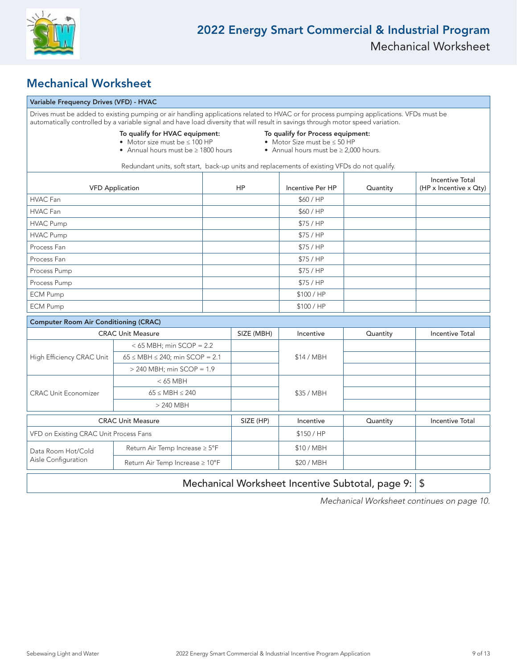

### Mechanical Worksheet

#### Variable Frequency Drives (VFD) - HVAC

|                                              | Drives must be added to existing pumping or air handling applications related to HVAC or for process pumping applications. VFDs must be<br>automatically controlled by a variable signal and have load diversity that will result in savings through motor speed variation. |                                                                                                                 |            |                                                  |          |                                                  |
|----------------------------------------------|-----------------------------------------------------------------------------------------------------------------------------------------------------------------------------------------------------------------------------------------------------------------------------|-----------------------------------------------------------------------------------------------------------------|------------|--------------------------------------------------|----------|--------------------------------------------------|
|                                              | $\bullet$ Annual hours must be $\geq 1800$ hours                                                                                                                                                                                                                            | To qualify for Process equipment:<br>• Motor Size must be ≤ 50 HP<br>• Annual hours must be $\geq 2,000$ hours. |            |                                                  |          |                                                  |
|                                              | Redundant units, soft start, back-up units and replacements of existing VFDs do not qualify.                                                                                                                                                                                |                                                                                                                 |            |                                                  |          |                                                  |
| <b>VFD Application</b>                       |                                                                                                                                                                                                                                                                             |                                                                                                                 | <b>HP</b>  | Incentive Per HP                                 | Quantity | <b>Incentive Total</b><br>(HP x Incentive x Qty) |
| HVAC Fan                                     |                                                                                                                                                                                                                                                                             |                                                                                                                 |            | \$60/HP                                          |          |                                                  |
| <b>HVAC Fan</b>                              |                                                                                                                                                                                                                                                                             |                                                                                                                 |            | \$60/HP                                          |          |                                                  |
| <b>HVAC Pump</b>                             |                                                                                                                                                                                                                                                                             |                                                                                                                 |            | \$75/HP                                          |          |                                                  |
| <b>HVAC Pump</b>                             |                                                                                                                                                                                                                                                                             |                                                                                                                 |            | \$75/HP                                          |          |                                                  |
| Process Fan                                  |                                                                                                                                                                                                                                                                             |                                                                                                                 |            | \$75/HP                                          |          |                                                  |
| Process Fan                                  |                                                                                                                                                                                                                                                                             |                                                                                                                 |            | \$75/HP                                          |          |                                                  |
| Process Pump                                 |                                                                                                                                                                                                                                                                             |                                                                                                                 |            | \$75/HP                                          |          |                                                  |
| Process Pump                                 |                                                                                                                                                                                                                                                                             |                                                                                                                 |            | \$75/HP                                          |          |                                                  |
| <b>ECM Pump</b>                              |                                                                                                                                                                                                                                                                             |                                                                                                                 |            | \$100 / HP                                       |          |                                                  |
| <b>ECM Pump</b>                              |                                                                                                                                                                                                                                                                             |                                                                                                                 |            | \$100 / HP                                       |          |                                                  |
| <b>Computer Room Air Conditioning (CRAC)</b> |                                                                                                                                                                                                                                                                             |                                                                                                                 |            |                                                  |          |                                                  |
|                                              | <b>CRAC Unit Measure</b>                                                                                                                                                                                                                                                    |                                                                                                                 | SIZE (MBH) | Incentive                                        | Quantity | <b>Incentive Total</b>                           |
|                                              | $<$ 65 MBH; min SCOP = 2.2                                                                                                                                                                                                                                                  |                                                                                                                 |            |                                                  |          |                                                  |
| High Efficiency CRAC Unit                    | $65 \leq \text{MBH} \leq 240$ ; min SCOP = 2.1                                                                                                                                                                                                                              |                                                                                                                 |            | \$14 / MBH                                       |          |                                                  |
|                                              | $>$ 240 MBH; min SCOP = 1.9                                                                                                                                                                                                                                                 |                                                                                                                 |            |                                                  |          |                                                  |
|                                              | $< 65$ MBH                                                                                                                                                                                                                                                                  |                                                                                                                 |            |                                                  |          |                                                  |
| <b>CRAC Unit Economizer</b>                  | $65 \leq \text{MBH} \leq 240$                                                                                                                                                                                                                                               |                                                                                                                 |            | \$35 / MBH                                       |          |                                                  |
|                                              | $>$ 240 MBH                                                                                                                                                                                                                                                                 |                                                                                                                 |            |                                                  |          |                                                  |
|                                              | <b>CRAC Unit Measure</b>                                                                                                                                                                                                                                                    |                                                                                                                 | SIZE (HP)  | Incentive                                        | Quantity | <b>Incentive Total</b>                           |
| VFD on Existing CRAC Unit Process Fans       |                                                                                                                                                                                                                                                                             |                                                                                                                 |            | \$150 / HP                                       |          |                                                  |
| Data Room Hot/Cold                           | Return Air Temp Increase ≥ 5°F                                                                                                                                                                                                                                              |                                                                                                                 |            | \$10 / MBH                                       |          |                                                  |
| Aisle Configuration                          | Return Air Temp Increase ≥ 10°F                                                                                                                                                                                                                                             |                                                                                                                 |            | \$20 / MBH                                       |          |                                                  |
|                                              |                                                                                                                                                                                                                                                                             |                                                                                                                 |            | Mechanical Worksheet Incentive Subtotal, page 9: |          | \$                                               |

Mechanical Worksheet continues on page 10.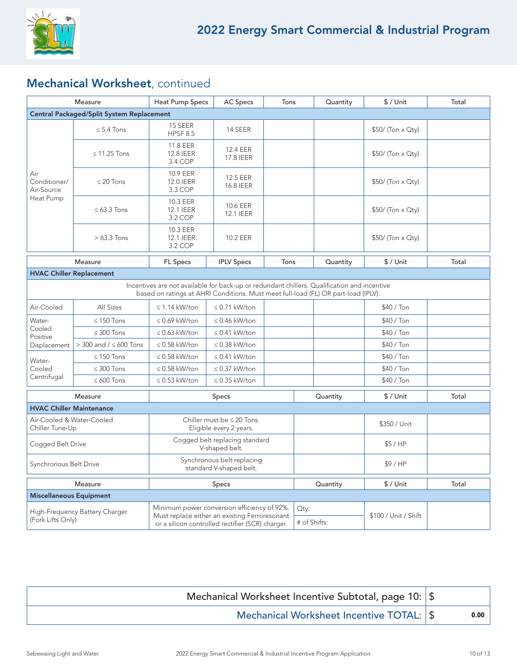

## Mechanical Worksheet, continued

|                                                                                                                                                                                   | Measure                       | <b>Heat Pump Specs</b>                                                                            | <b>AC Specs</b>              | Tons     |              | Quantity  | $$/$ Unit            | Total |
|-----------------------------------------------------------------------------------------------------------------------------------------------------------------------------------|-------------------------------|---------------------------------------------------------------------------------------------------|------------------------------|----------|--------------|-----------|----------------------|-------|
| <b>Central Packaged/Split System Replacement</b>                                                                                                                                  |                               |                                                                                                   |                              |          |              |           |                      |       |
|                                                                                                                                                                                   | $\leq$ 5.4 Tons               | 15 SEER<br><b>HPSF 8.5</b>                                                                        | 14 SEER                      |          |              |           | $$50/$ (Ton x Qty)   |       |
| Air<br>Conditioner/<br>Air-Source<br>Heat Pump                                                                                                                                    | $\leq$ 11.25 Tons             | 11.8 EER<br>12.8 IEER<br>3.4 COP                                                                  | 12.4 EER<br>17.8 IEER        |          |              |           | \$50/ (Ton x Qty)    |       |
|                                                                                                                                                                                   | $\leq$ 20 Tons                | 10.9 EER<br><b>12.0 IEER</b><br>3.3 COP                                                           | 12.5 EER<br>16.8 IEER        |          |              |           | \$50/ (Ton x Qty)    |       |
|                                                                                                                                                                                   | $\leq 63.3$ Tons              | 10.3 EER<br>12.1 IEER<br>3.2 COP                                                                  | 10.6 EER<br><b>12.1 IEER</b> |          |              |           | $$50/$ (Ton x Qty)   |       |
|                                                                                                                                                                                   | $> 63.3$ Tons                 | 10.3 EER<br><b>12.1 IEER</b><br>3.2 COP                                                           | 10.2 EER                     |          |              |           | \$50/ (Ton x Qty)    |       |
|                                                                                                                                                                                   | Measure                       | FL Specs                                                                                          | <b>IPLV Specs</b>            | Tons     |              | Quantity  | $$/$ Unit            | Total |
| <b>HVAC Chiller Replacement</b>                                                                                                                                                   |                               |                                                                                                   |                              |          |              |           |                      |       |
| Incentives are not available for back-up or redundant chillers. Qualification and incentive<br>based on ratings at AHRI Conditions. Must meet full-load (FL) OR part-load (IPLV). |                               |                                                                                                   |                              |          |              |           |                      |       |
| Air-Cooled                                                                                                                                                                        | All Sizes                     | $\leq$ 1.14 kW/ton                                                                                | $\leq$ 0.71 kW/ton           |          |              |           | \$40 / Ton           |       |
| Water-                                                                                                                                                                            | $\leq$ 150 Tons               | $\leq$ 0.69 kW/ton<br>$\leq$ 0.46 kW/ton                                                          |                              |          |              |           | \$40 / Ton           |       |
| Cooled<br>Positive                                                                                                                                                                | $\leq 300$ Tons               | $\leq$ 0.63 kW/ton                                                                                | $\leq$ 0.41 kW/ton           |          |              |           | \$40 / Ton           |       |
| Displacement                                                                                                                                                                      | $>$ 300 and / $\leq$ 600 Tons | $\leq$ 0.58 kW/ton                                                                                | $\leq$ 0.38 kW/ton           |          |              |           | \$40 / Ton           |       |
| Water-                                                                                                                                                                            | $\leq$ 150 Tons               | $\leq$ 0.58 kW/ton                                                                                | $\leq$ 0.41 kW/ton           |          |              |           | \$40 / Ton           |       |
| Cooled                                                                                                                                                                            | $\leq 300$ Tons               | $\leq$ 0.58 kW/ton                                                                                | $\leq$ 0.37 kW/ton           |          |              |           | \$40 / Ton           |       |
| Centrifugal                                                                                                                                                                       | $\leq 600$ Tons               | $\leq$ 0.53 kW/ton                                                                                | $\leq$ 0.35 kW/ton           |          |              |           | \$40 / Ton           |       |
| Measure                                                                                                                                                                           |                               | Specs                                                                                             |                              | Quantity |              | $$/$ Unit | Total                |       |
| <b>HVAC Chiller Maintenance</b>                                                                                                                                                   |                               |                                                                                                   |                              |          |              |           |                      |       |
| Air-Cooled & Water-Cooled<br>Chiller Tune-Up                                                                                                                                      |                               | Chiller must be $\leq 20$ Tons.<br>Eligible every 2 years.                                        |                              |          |              |           | \$350 / Unit         |       |
| Cogged Belt Drive                                                                                                                                                                 |                               | Cogged belt replacing standard<br>V-shaped belt.                                                  |                              |          |              |           | \$5/HP               |       |
| Synchronous Belt Drive                                                                                                                                                            |                               | Synchronous belt replacing<br>standard V-shaped belt.                                             |                              |          |              |           | \$9/HP               |       |
| Measure                                                                                                                                                                           |                               | Specs                                                                                             |                              |          |              | Quantity  | $$/$ Unit            | Total |
| <b>Miscellaneous Equipment</b>                                                                                                                                                    |                               |                                                                                                   |                              |          |              |           |                      |       |
| High-Frequency Battery Charger                                                                                                                                                    |                               | Minimum power conversion efficiency of 92%.                                                       |                              |          | Qty:         |           |                      |       |
| (Fork Lifts Only)                                                                                                                                                                 |                               | Must replace either an existing Ferroresonant<br>or a silicon controlled rectifier (SCR) charger. |                              |          | # of Shifts: |           | \$100 / Unit / Shift |       |

| Mechanical Worksheet Incentive Subtotal, page 10:   \$ |      |
|--------------------------------------------------------|------|
| Mechanical Worksheet Incentive TOTAL: \$               | 0.00 |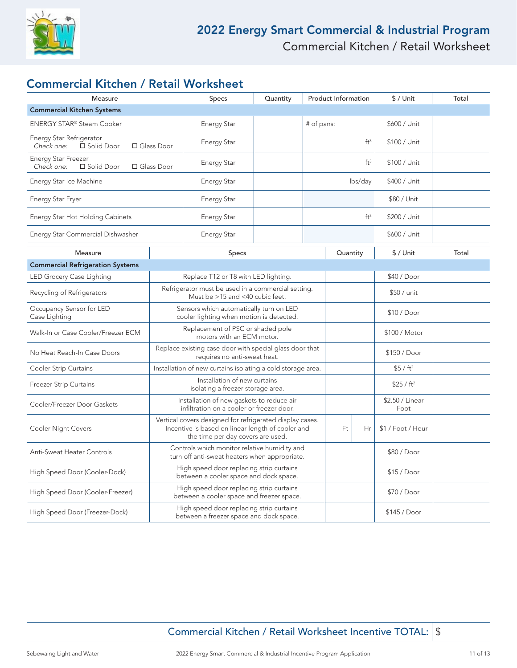

### Commercial Kitchen / Retail Worksheet

| Measure                                                                |                                                                                                                                                    | Specs                                                                                         | Quantity | <b>Product Information</b> |                 | \$ / Unit               | Total        |       |
|------------------------------------------------------------------------|----------------------------------------------------------------------------------------------------------------------------------------------------|-----------------------------------------------------------------------------------------------|----------|----------------------------|-----------------|-------------------------|--------------|-------|
| <b>Commercial Kitchen Systems</b>                                      |                                                                                                                                                    |                                                                                               |          |                            |                 |                         |              |       |
| ENERGY STAR® Steam Cooker                                              |                                                                                                                                                    | <b>Energy Star</b>                                                                            |          | # of pans:                 |                 | \$600 / Unit            |              |       |
| Energy Star Refrigerator<br>Check one:<br>□ Solid Door<br>□ Glass Door |                                                                                                                                                    | <b>Energy Star</b>                                                                            |          |                            | ft <sup>3</sup> | \$100 / Unit            |              |       |
| Energy Star Freezer<br>Check one:<br>□ Solid Door                      | □ Glass Door                                                                                                                                       | <b>Energy Star</b>                                                                            |          | ft <sup>3</sup>            |                 | \$100 / Unit            |              |       |
| Energy Star Ice Machine                                                |                                                                                                                                                    | <b>Energy Star</b>                                                                            |          | lbs/day                    |                 | \$400 / Unit            |              |       |
| Energy Star Fryer                                                      |                                                                                                                                                    | <b>Energy Star</b>                                                                            |          |                            |                 | \$80 / Unit             |              |       |
| Energy Star Hot Holding Cabinets                                       |                                                                                                                                                    | <b>Energy Star</b>                                                                            |          | ft <sup>3</sup>            |                 | \$200 / Unit            |              |       |
| Energy Star Commercial Dishwasher                                      |                                                                                                                                                    | <b>Energy Star</b>                                                                            |          |                            |                 | \$600 / Unit            |              |       |
| Measure                                                                |                                                                                                                                                    | Specs                                                                                         |          |                            | Quantity        |                         | $$/$ Unit    | Total |
| <b>Commercial Refrigeration Systems</b>                                |                                                                                                                                                    |                                                                                               |          |                            |                 |                         |              |       |
| LED Grocery Case Lighting                                              | Replace T12 or T8 with LED lighting.                                                                                                               |                                                                                               |          |                            |                 | \$40 / Door             |              |       |
| Recycling of Refrigerators                                             | Refrigerator must be used in a commercial setting.<br>Must be >15 and <40 cubic feet.                                                              |                                                                                               |          |                            |                 | \$50 / unit             |              |       |
| Occupancy Sensor for LED<br>Case Lighting                              | Sensors which automatically turn on LED<br>cooler lighting when motion is detected.                                                                |                                                                                               |          |                            |                 | \$10 / Door             |              |       |
| Walk-In or Case Cooler/Freezer ECM                                     | Replacement of PSC or shaded pole<br>motors with an ECM motor.                                                                                     |                                                                                               |          |                            |                 | \$100 / Motor           |              |       |
| No Heat Reach-In Case Doors                                            | Replace existing case door with special glass door that<br>requires no anti-sweat heat.                                                            |                                                                                               |          |                            |                 | \$150 / Door            |              |       |
| Cooler Strip Curtains                                                  | Installation of new curtains isolating a cold storage area.                                                                                        |                                                                                               |          |                            |                 | \$5 / ft <sup>2</sup>   |              |       |
| <b>Freezer Strip Curtains</b>                                          | Installation of new curtains<br>isolating a freezer storage area.                                                                                  |                                                                                               |          |                            |                 | \$25 / ft <sup>2</sup>  |              |       |
| Cooler/Freezer Door Gaskets                                            | Installation of new gaskets to reduce air<br>infiltration on a cooler or freezer door.                                                             |                                                                                               |          |                            |                 | \$2.50 / Linear<br>Foot |              |       |
| <b>Cooler Night Covers</b>                                             | Vertical covers designed for refrigerated display cases.<br>Incentive is based on linear length of cooler and<br>the time per day covers are used. |                                                                                               |          | Ft                         | Hr              | \$1 / Foot / Hour       |              |       |
| Anti-Sweat Heater Controls                                             |                                                                                                                                                    | Controls which monitor relative humidity and<br>turn off anti-sweat heaters when appropriate. |          |                            |                 |                         | \$80 / Door  |       |
| High Speed Door (Cooler-Dock)                                          |                                                                                                                                                    | High speed door replacing strip curtains<br>between a cooler space and dock space.            |          |                            |                 |                         | \$15 / Door  |       |
| High Speed Door (Cooler-Freezer)                                       |                                                                                                                                                    | High speed door replacing strip curtains<br>between a cooler space and freezer space.         |          |                            |                 |                         | \$70 / Door  |       |
| High Speed Door (Freezer-Dock)                                         |                                                                                                                                                    | High speed door replacing strip curtains<br>between a freezer space and dock space.           |          |                            |                 |                         | \$145 / Door |       |

Commercial Kitchen / Retail Worksheet Incentive TOTAL: | \$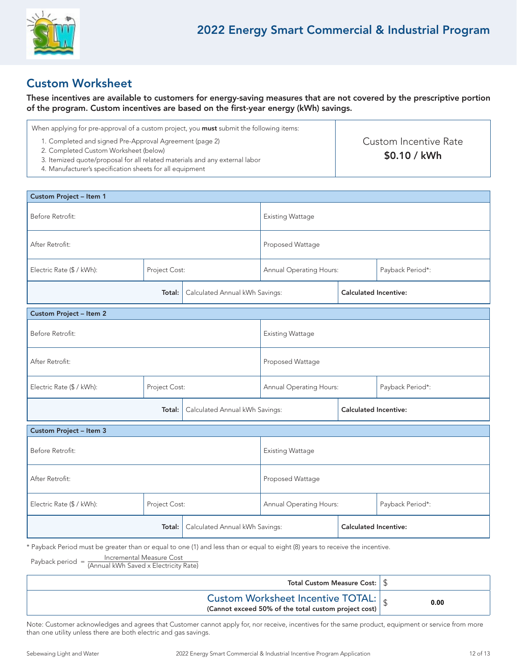

### Custom Worksheet

These incentives are available to customers for energy-saving measures that are not covered by the prescriptive portion of the program. Custom incentives are based on the first-year energy (kWh) savings.

| When applying for pre-approval of a custom project, you <b>must</b> submit the following items:                                                                                                                                             |                                        |
|---------------------------------------------------------------------------------------------------------------------------------------------------------------------------------------------------------------------------------------------|----------------------------------------|
| 1. Completed and signed Pre-Approval Agreement (page 2)<br>2. Completed Custom Worksheet (below)<br>3. Itemized quote/proposal for all related materials and any external labor<br>4. Manufacturer's specification sheets for all equipment | Custom Incentive Rate<br>$$0.10 /$ kWh |

| Custom Project - Item 1                    |                                |                                |                              |                                |                              |  |
|--------------------------------------------|--------------------------------|--------------------------------|------------------------------|--------------------------------|------------------------------|--|
| Before Retrofit:                           |                                | <b>Existing Wattage</b>        |                              |                                |                              |  |
| After Retrofit:                            |                                |                                | Proposed Wattage             |                                |                              |  |
| Electric Rate (\$ / kWh):                  | Project Cost:                  |                                |                              | <b>Annual Operating Hours:</b> | Payback Period*:             |  |
| Total:                                     |                                | Calculated Annual kWh Savings: |                              |                                | <b>Calculated Incentive:</b> |  |
| <b>Custom Project - Item 2</b>             |                                |                                |                              |                                |                              |  |
| Before Retrofit:                           |                                | <b>Existing Wattage</b>        |                              |                                |                              |  |
| After Retrofit:                            |                                |                                | Proposed Wattage             |                                |                              |  |
| Electric Rate (\$ / kWh):<br>Project Cost: |                                |                                | Annual Operating Hours:      |                                | Payback Period*:             |  |
| Total:                                     |                                | Calculated Annual kWh Savings: |                              | <b>Calculated Incentive:</b>   |                              |  |
| Custom Project - Item 3                    |                                |                                |                              |                                |                              |  |
| Before Retrofit:                           |                                | <b>Existing Wattage</b>        |                              |                                |                              |  |
| After Retrofit:                            |                                |                                | Proposed Wattage             |                                |                              |  |
| Electric Rate (\$ / kWh):<br>Project Cost: |                                |                                | Annual Operating Hours:      |                                | Payback Period*:             |  |
|                                            | Calculated Annual kWh Savings: |                                | <b>Calculated Incentive:</b> |                                |                              |  |

\* Payback Period must be greater than or equal to one (1) and less than or equal to eight (8) years to receive the incentive.

Payback period = Incremental Measure Cost (Annual kWh Saved x Electricity Rate)

| Total Custom Measure Cost: $\frac{1}{3}$                                                                       |      |
|----------------------------------------------------------------------------------------------------------------|------|
| Custom Worksheet Incentive TOTAL: $\int_{\mathcal{R}}$<br>(Cannot exceed 50% of the total custom project cost) | 0.00 |

Note: Customer acknowledges and agrees that Customer cannot apply for, nor receive, incentives for the same product, equipment or service from more than one utility unless there are both electric and gas savings.